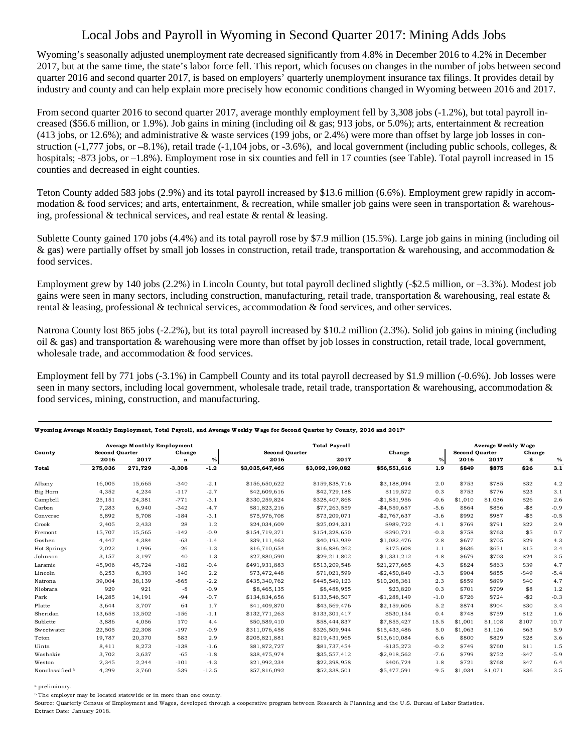## Local Jobs and Payroll in Wyoming in Second Quarter 2017: Mining Adds Jobs

Wyoming's seasonally adjusted unemployment rate decreased significantly from 4.8% in December 2016 to 4.2% in December 2017, but at the same time, the state's labor force fell. This report, which focuses on changes in the number of jobs between second quarter 2016 and second quarter 2017, is based on employers' quarterly unemployment insurance tax filings. It provides detail by industry and county and can help explain more precisely how economic conditions changed in Wyoming between 2016 and 2017.

From second quarter 2016 to second quarter 2017, average monthly employment fell by 3,308 jobs (-1.2%), but total payroll increased (\$56.6 million, or 1.9%). Job gains in mining (including oil & gas; 913 jobs, or 5.0%); arts, entertainment & recreation (413 jobs, or 12.6%); and administrative & waste services (199 jobs, or 2.4%) were more than offset by large job losses in construction (-1,777 jobs, or -8.1%), retail trade (-1,104 jobs, or -3.6%), and local government (including public schools, colleges, & hospitals; -873 jobs, or –1.8%). Employment rose in six counties and fell in 17 counties (see Table). Total payroll increased in 15 counties and decreased in eight counties.

Teton County added 583 jobs (2.9%) and its total payroll increased by \$13.6 million (6.6%). Employment grew rapidly in accommodation & food services; and arts, entertainment, & recreation, while smaller job gains were seen in transportation & warehousing, professional  $&$  technical services, and real estate  $&$  rental  $&$  leasing.

Sublette County gained 170 jobs (4.4%) and its total payroll rose by \$7.9 million (15.5%). Large job gains in mining (including oil & gas) were partially offset by small job losses in construction, retail trade, transportation & warehousing, and accommodation & food services.

Employment grew by 140 jobs (2.2%) in Lincoln County, but total payroll declined slightly (-\$2.5 million, or –3.3%). Modest job gains were seen in many sectors, including construction, manufacturing, retail trade, transportation & warehousing, real estate  $\&$ rental & leasing, professional & technical services, accommodation & food services, and other services.

Natrona County lost 865 jobs (-2.2%), but its total payroll increased by \$10.2 million (2.3%). Solid job gains in mining (including oil & gas) and transportation & warehousing were more than offset by job losses in construction, retail trade, local government, wholesale trade, and accommodation & food services.

Employment fell by 771 jobs (-3.1%) in Campbell County and its total payroll decreased by \$1.9 million (-0.6%). Job losses were seen in many sectors, including local government, wholesale trade, retail trade, transportation  $\&$  warehousing, accommodation  $\&$ food services, mining, construction, and manufacturing.

| County          | <b>Average Monthly Employment</b> |         |             |         | <b>Total Payroll</b>  |                 |               |                       | Average Weekly Wage |         |         |        |
|-----------------|-----------------------------------|---------|-------------|---------|-----------------------|-----------------|---------------|-----------------------|---------------------|---------|---------|--------|
|                 | <b>Second Quarter</b><br>Change   |         |             |         | <b>Second Quarter</b> | Change          |               | <b>Second Ouarter</b> |                     | Change  |         |        |
|                 | 2016                              | 2017    | $\mathbf n$ | $\%$    | 2016                  | 2017            |               | $\%$                  | 2016                | 2017    | \$      | $\%$   |
| Total           | 275,036                           | 271,729 | $-3,308$    | $-1.2$  | \$3,035,647,466       | \$3,092,199,082 | \$56,551,616  | 1.9                   | \$849               | \$875   | \$26    | 3.1    |
| Albany          | 16,005                            | 15,665  | $-340$      | $-2.1$  | \$156,650,622         | \$159,838,716   | \$3,188,094   | 2.0                   | \$753               | \$785   | \$32    | 4.2    |
| Big Horn        | 4,352                             | 4,234   | $-117$      | $-2.7$  | \$42,609,616          | \$42,729,188    | \$119,572     | 0.3                   | \$753               | \$776   | \$23    | 3.1    |
| Campbell        | 25,151                            | 24,381  | $-771$      | $-3.1$  | \$330,259,824         | \$328,407,868   | $-$1,851,956$ | $-0.6$                | \$1.010             | \$1,036 | \$26    | 2.6    |
| Carbon          | 7,283                             | 6,940   | $-342$      | $-4.7$  | \$81,823,216          | \$77,263,559    | $-$4,559,657$ | $-5.6$                | \$864               | \$856   | $-$ \$8 | $-0.9$ |
| Converse        | 5,892                             | 5,708   | $-184$      | $-3.1$  | \$75,976,708          | \$73,209,071    | $-$2,767,637$ | $-3.6$                | \$992               | \$987   | $-$ \$5 | $-0.5$ |
| Crook           | 2,405                             | 2,433   | 28          | 1.2     | \$24,034,609          | \$25,024,331    | \$989,722     | 4.1                   | \$769               | \$791   | \$22    | 2.9    |
| Fremont         | 15,707                            | 15,565  | $-142$      | $-0.9$  | \$154,719,371         | \$154,328,650   | $-$ \$390,721 | $-0.3$                | \$758               | \$763   | \$5     | 0.7    |
| Goshen          | 4,447                             | 4,384   | $-63$       | $-1.4$  | \$39,111,463          | \$40,193,939    | \$1,082,476   | 2.8                   | \$677               | \$705   | \$29    | 4.3    |
| Hot Springs     | 2,022                             | 1,996   | $-26$       | $-1.3$  | \$16,710,654          | \$16,886,262    | \$175,608     | 1.1                   | \$636               | \$651   | \$15    | 2.4    |
| Johnson         | 3,157                             | 3,197   | 40          | 1.3     | \$27,880,590          | \$29,211,802    | \$1,331,212   | 4.8                   | \$679               | \$703   | \$24    | 3.5    |
| Laramie         | 45,906                            | 45.724  | $-182$      | $-0.4$  | \$491,931,883         | \$513,209,548   | \$21,277,665  | 4.3                   | \$824               | \$863   | \$39    | 4.7    |
| Lincoln         | 6,253                             | 6,393   | 140         | 2.2     | \$73,472,448          | \$71,021,599    | $-$2,450,849$ | $-3.3$                | \$904               | \$855   | $-$49$  | $-5.4$ |
| Natrona         | 39,004                            | 38,139  | $-865$      | $-2.2$  | \$435,340,762         | \$445,549,123   | \$10,208,361  | 2.3                   | \$859               | \$899   | \$40    | 4.7    |
| Niobrara        | 929                               | 921     | $-8$        | $-0.9$  | \$8,465,135           | \$8,488,955     | \$23,820      | 0.3                   | \$701               | \$709   | \$8     | 1.2    |
| Park            | 14,285                            | 14.191  | $-94$       | $-0.7$  | \$134,834,656         | \$133,546,507   | $-$1,288,149$ | $-1.0$                | \$726               | \$724   | $-52$   | $-0.3$ |
| Platte          | 3,644                             | 3,707   | 64          | 1.7     | \$41,409,870          | \$43,569,476    | \$2,159,606   | 5.2                   | \$874               | \$904   | \$30    | 3.4    |
| Sheridan        | 13,658                            | 13,502  | $-156$      | $-1.1$  | \$132,771,263         | \$133,301,417   | \$530,154     | 0.4                   | \$748               | \$759   | \$12    | 1.6    |
| Sublette        | 3,886                             | 4,056   | 170         | 4.4     | \$50,589,410          | \$58,444,837    | \$7,855,427   | 15.5                  | \$1,001             | \$1,108 | \$107   | 10.7   |
| Sweetwater      | 22,505                            | 22,308  | $-197$      | $-0.9$  | \$311,076,458         | \$326,509,944   | \$15,433,486  | 5.0                   | \$1,063             | \$1,126 | \$63    | 5.9    |
| Teton           | 19,787                            | 20,370  | 583         | 2.9     | \$205,821,881         | \$219,431,965   | \$13,610,084  | 6.6                   | \$800               | \$829   | \$28    | 3.6    |
| Uinta           | 8.411                             | 8,273   | $-138$      | $-1.6$  | \$81,872,727          | \$81,737,454    | $-$135,273$   | $-0.2$                | \$749               | \$760   | \$11    | 1.5    |
| Washakie        | 3,702                             | 3,637   | $-65$       | $-1.8$  | \$38,475,974          | \$35,557,412    | $-$2,918,562$ | $-7.6$                | \$799               | \$752   | $-$47$  | $-5.9$ |
| Weston          | 2,345                             | 2,244   | $-101$      | $-4.3$  | \$21,992,234          | \$22,398,958    | \$406,724     | 1.8                   | \$721               | \$768   | \$47    | 6.4    |
| Nonclassified b | 4,299                             | 3.760   | $-539$      | $-12.5$ | \$57,816,092          | \$52,338,501    | $-$5,477,591$ | $-9.5$                | \$1.034             | \$1.071 | \$36    | 3.5    |

**W yoming Average M onthly Emp loyment, Total Payrol l , and Average W eekly W age for Second Quarter by County, 2016 and 2017a**

a preliminary.

b The employer may be located statewide or in more than one county.

Source: Quarterly Census of Employment and Wages, developed through a cooperative program between Research & Planning and the U.S. Bureau of Labor Statistics. Extract Date: January 2018.